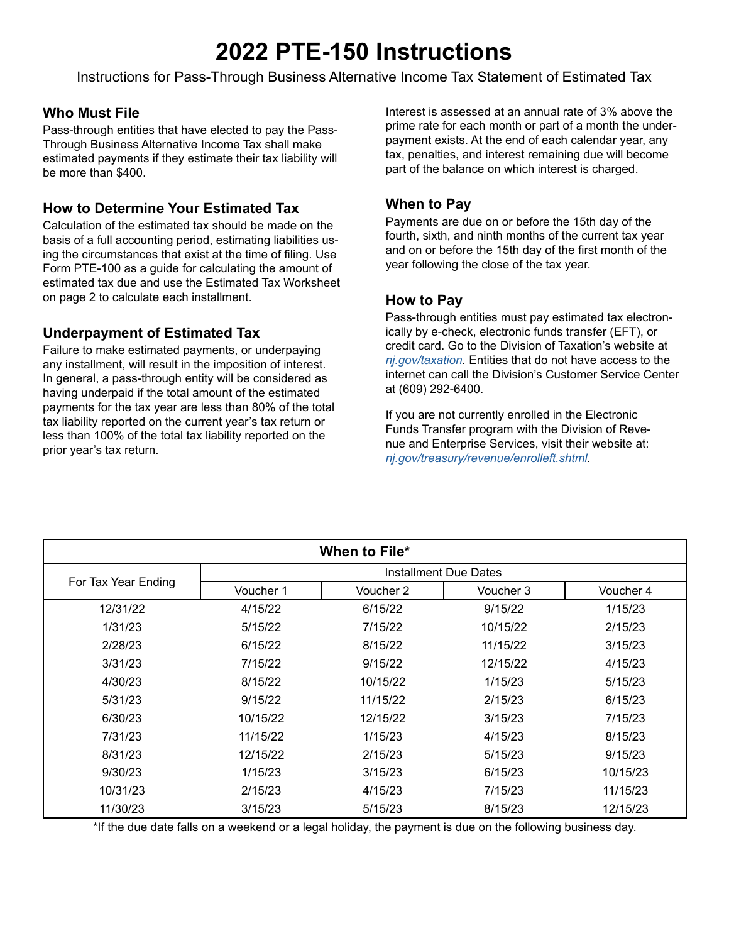# **2022 PTE-150 Instructions**

Instructions for Pass-Through Business Alternative Income Tax Statement of Estimated Tax

#### **Who Must File**

Pass-through entities that have elected to pay the Pass-Through Business Alternative Income Tax shall make estimated payments if they estimate their tax liability will be more than \$400.

## **How to Determine Your Estimated Tax**

Calculation of the estimated tax should be made on the basis of a full accounting period, estimating liabilities using the circumstances that exist at the time of filing. Use Form PTE-100 as a guide for calculating the amount of estimated tax due and use the Estimated Tax Worksheet on page 2 to calculate each installment.

## **Underpayment of Estimated Tax**

Failure to make estimated payments, or underpaying any installment, will result in the imposition of interest. In general, a pass-through entity will be considered as having underpaid if the total amount of the estimated payments for the tax year are less than 80% of the total tax liability reported on the current year's tax return or less than 100% of the total tax liability reported on the prior year's tax return.

Interest is assessed at an annual rate of 3% above the prime rate for each month or part of a month the underpayment exists. At the end of each calendar year, any tax, penalties, and interest remaining due will become part of the balance on which interest is charged.

### **When to Pay**

Payments are due on or before the 15th day of the fourth, sixth, and ninth months of the current tax year and on or before the 15th day of the first month of the year following the close of the tax year.

### **How to Pay**

Pass-through entities must pay estimated tax electronically by e-check, electronic funds transfer (EFT), or credit card. Go to the Division of Taxation's website at *[nj.gov/taxation](http://nj.gov/taxation).* Entities that do not have access to the internet can call the Division's Customer Service Center at (609) 292-6400.

If you are not currently enrolled in the Electronic Funds Transfer program with the Division of Revenue and Enterprise Services, visit their website at: *nj.gov/treasury/revenue/enrolleft.shtml.*

| When to File*       |                              |           |           |           |  |
|---------------------|------------------------------|-----------|-----------|-----------|--|
| For Tax Year Ending | <b>Installment Due Dates</b> |           |           |           |  |
|                     | Voucher 1                    | Voucher 2 | Voucher 3 | Voucher 4 |  |
| 12/31/22            | 4/15/22                      | 6/15/22   | 9/15/22   | 1/15/23   |  |
| 1/31/23             | 5/15/22                      | 7/15/22   | 10/15/22  | 2/15/23   |  |
| 2/28/23             | 6/15/22                      | 8/15/22   | 11/15/22  | 3/15/23   |  |
| 3/31/23             | 7/15/22                      | 9/15/22   | 12/15/22  | 4/15/23   |  |
| 4/30/23             | 8/15/22                      | 10/15/22  | 1/15/23   | 5/15/23   |  |
| 5/31/23             | 9/15/22                      | 11/15/22  | 2/15/23   | 6/15/23   |  |
| 6/30/23             | 10/15/22                     | 12/15/22  | 3/15/23   | 7/15/23   |  |
| 7/31/23             | 11/15/22                     | 1/15/23   | 4/15/23   | 8/15/23   |  |
| 8/31/23             | 12/15/22                     | 2/15/23   | 5/15/23   | 9/15/23   |  |
| 9/30/23             | 1/15/23                      | 3/15/23   | 6/15/23   | 10/15/23  |  |
| 10/31/23            | 2/15/23                      | 4/15/23   | 7/15/23   | 11/15/23  |  |
| 11/30/23            | 3/15/23                      | 5/15/23   | 8/15/23   | 12/15/23  |  |

\*If the due date falls on a weekend or a legal holiday, the payment is due on the following business day.